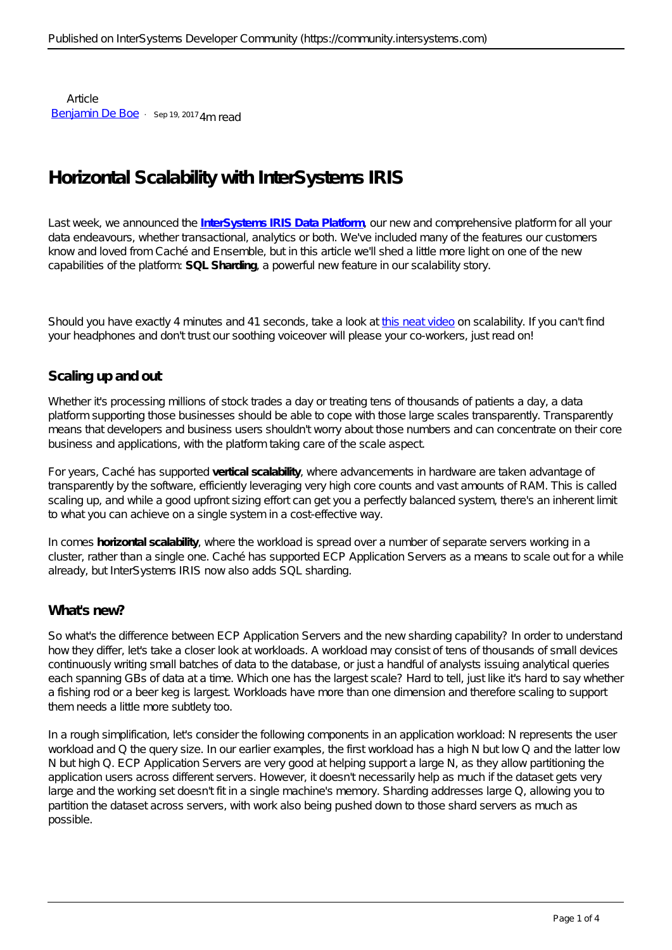Article [Benjamin De Boe](https://community.intersystems.com/user/benjamin-de-boe) · Sep 19, 2017 4m read

# **Horizontal Scalability with InterSystems IRIS**

Last week, we announced the **[InterSystems IRIS Data Platform](http://www.intersystems.com/iris)**, our new and comprehensive platform for all your data endeavours, whether transactional, analytics or both. We've included many of the features our customers know and loved from Caché and Ensemble, but in this article we'll shed a little more light on one of the new capabilities of the platform: **SQL Sharding**, a powerful new feature in our scalability story.

Should you have exactly 4 minutes and 41 seconds, take a look at [this neat video](https://learning.intersystems.com/course/view.php?id=732) on scalability. If you can't find your headphones and don't trust our soothing voiceover will please your co-workers, just read on!

### **Scaling up and out**

Whether it's processing millions of stock trades a day or treating tens of thousands of patients a day, a data platform supporting those businesses should be able to cope with those large scales transparently. *Transparently* means that developers and business users shouldn't worry about those numbers and can concentrate on their core business and applications, with the platform taking care of the scale aspect.

For years, Caché has supported **vertical scalability**, where advancements in hardware are taken advantage of transparently by the software, efficiently leveraging very high core counts and vast amounts of RAM. This is called scaling *up*, and while a good upfront sizing effort can get you a perfectly balanced system, there's an inherent limit to what you can achieve on a single system in a cost-effective way.

In comes **horizontal scalability**, where the workload is spread over a number of separate servers working in a cluster, rather than a single one. Caché has supported ECP Application Servers as a means to *scale out* for a while already, but InterSystems IRIS now also adds SQL sharding.

### **What's new?**

So what's the difference between ECP Application Servers and the new sharding capability? In order to understand how they differ, let's take a closer look at workloads. A workload may consist of tens of thousands of small devices continuously writing small batches of data to the database, or just a handful of analysts issuing analytical queries each spanning GBs of data at a time. Which one has the largest scale? Hard to tell, just like it's hard to say whether a fishing rod or a beer keg is largest. Workloads have more than one dimension and therefore scaling to support them needs a little more subtlety too.

In a rough simplification, let's consider the following components in an application workload: N represents the *user workload* and Q the *query size*. In our earlier examples, the first workload has a high N but low Q and the latter low N but high Q. ECP Application Servers are very good at helping support a large N, as they allow partitioning the application users across different servers. However, it doesn't necessarily help as much if the dataset gets very large and the working set doesn't fit in a single machine's memory. Sharding addresses large Q, allowing you to partition the dataset across servers, with work also being pushed down to those *shard servers* as much as possible.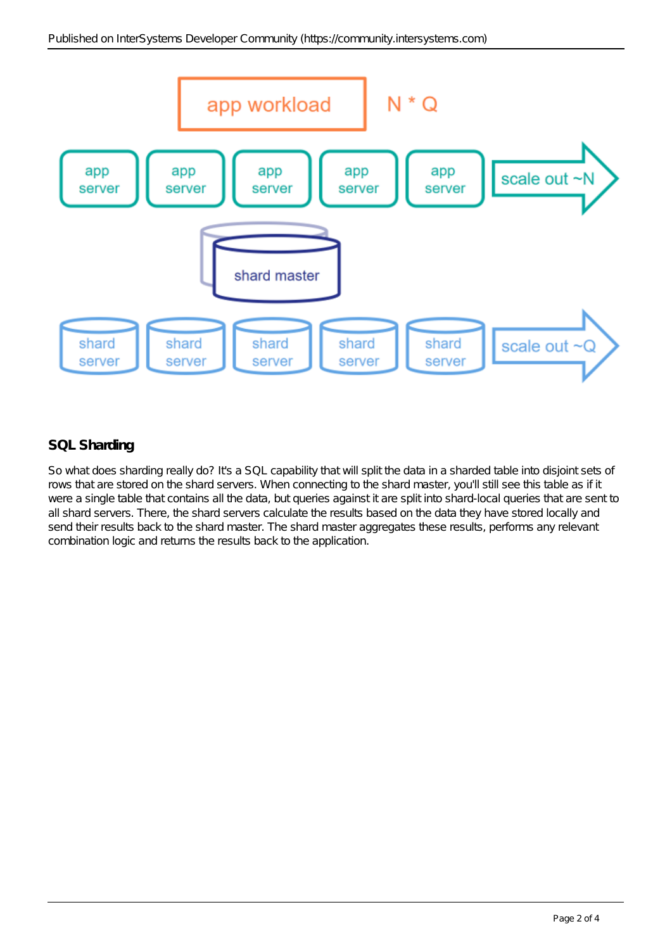

## **SQL Sharding**

So what does sharding really do? It's a SQL capability that will split the data in a *sharded table* into disjoint sets of rows that are stored on the shard servers. When connecting to the *shard master*, you'll still see this table as if it were a single table that contains all the data, but queries against it are split into shard-local queries that are sent to all shard servers. There, the shard servers calculate the results based on the data they have stored locally and send their results back to the shard master. The shard master aggregates these results, performs any relevant combination logic and returns the results back to the application.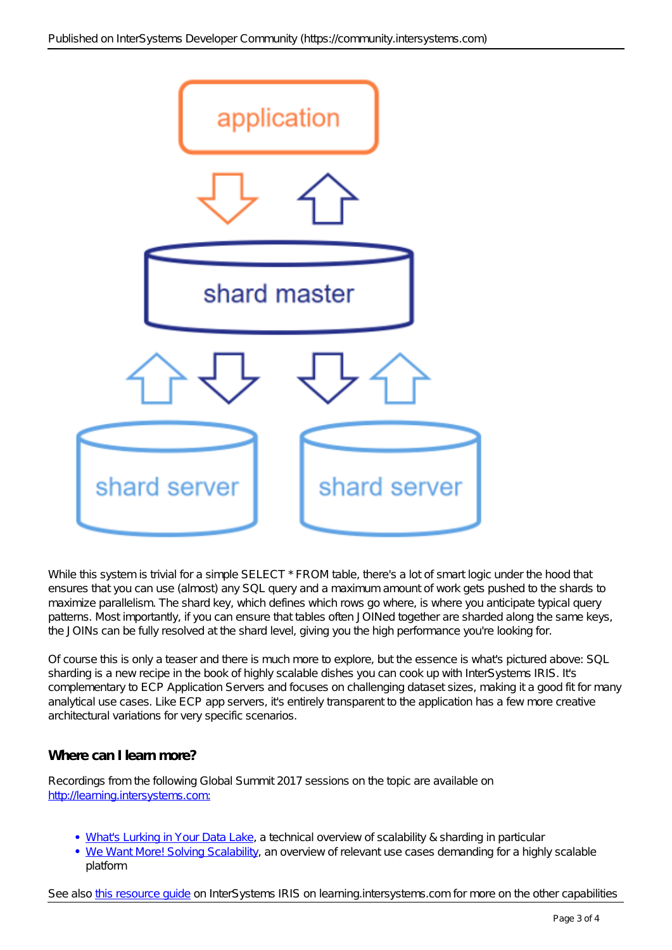

While this system is trivial for a simple SELECT \* FROM table, there's a lot of smart logic under the hood that ensures that you can use (almost) any SQL query and a maximum amount of work gets pushed to the shards to maximize parallelism. The *shard key*, which defines which rows go where, is where you anticipate typical query patterns. Most importantly, if you can ensure that tables often JOINed together are sharded along the same keys, the JOINs can be fully resolved at the shard level, giving you the high performance you're looking for.

Of course this is only a teaser and there is much more to explore, but the essence is what's pictured above: SQL sharding is a new recipe in the book of highly scalable dishes you can cook up with InterSystems IRIS. It's complementary to ECP Application Servers and focuses on challenging dataset sizes, making it a good fit for many analytical use cases. Like ECP app servers, it's entirely transparent to the application has a few more creative architectural variations for very specific scenarios.

### **Where can I learn more?**

Recordings from the following Global Summit 2017 sessions on the topic are available on <http://learning.intersystems.com:>

- [What's Lurking in Your Data Lake,](https://learning.intersystems.com/course/view.php?id=723) a technical overview of scalability & sharding in particular
- [We Want More! Solving Scalability,](https://learning.intersystems.com/course/view.php?id=722) an overview of relevant use cases demanding for a highly scalable platform

See also [this resource guide](https://learning.intersystems.com/course/view.php?id=755) on InterSystems IRIS on learning.intersystems.com for more on the other capabilities